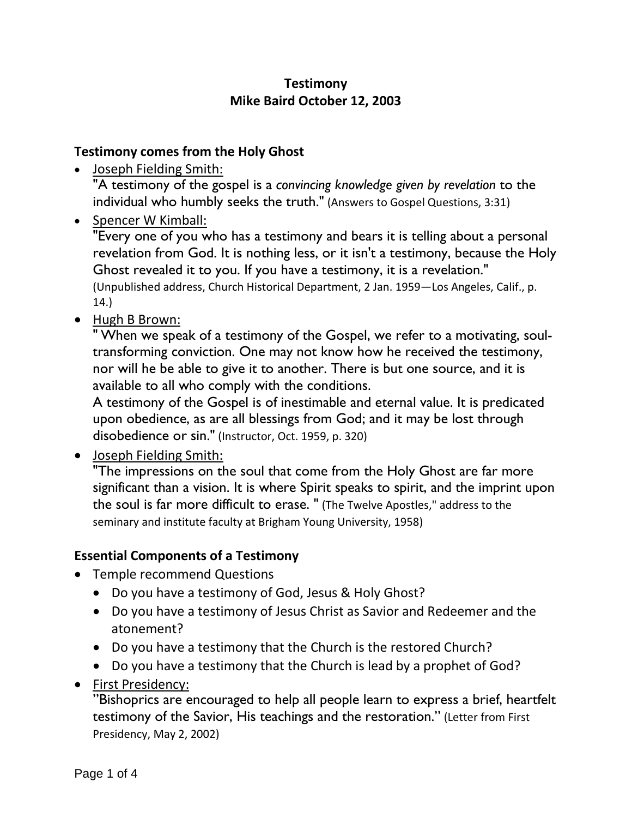# **Testimony Mike Baird October 12, 2003**

### **Testimony comes from the Holy Ghost**

- Joseph Fielding Smith: "A testimony of the gospel is a *convincing knowledge given by revelation* to the individual who humbly seeks the truth." (Answers to Gospel Questions, 3:31)
- Spencer W Kimball:

"Every one of you who has a testimony and bears it is telling about a personal revelation from God. It is nothing less, or it isn't a testimony, because the Holy Ghost revealed it to you. If you have a testimony, it is a revelation." (Unpublished address, Church Historical Department, 2 Jan. 1959—Los Angeles, Calif., p. 14.)

• Hugh B Brown:

" When we speak of a testimony of the Gospel, we refer to a motivating, soultransforming conviction. One may not know how he received the testimony, nor will he be able to give it to another. There is but one source, and it is available to all who comply with the conditions.

A testimony of the Gospel is of inestimable and eternal value. It is predicated upon obedience, as are all blessings from God; and it may be lost through disobedience or sin." (Instructor, Oct. 1959, p. 320)

• Joseph Fielding Smith:

"The impressions on the soul that come from the Holy Ghost are far more significant than a vision. It is where Spirit speaks to spirit, and the imprint upon the soul is far more difficult to erase. " (The Twelve Apostles," address to the seminary and institute faculty at Brigham Young University, 1958)

#### **Essential Components of a Testimony**

- Temple recommend Questions
	- Do you have a testimony of God, Jesus & Holy Ghost?
	- Do you have a testimony of Jesus Christ as Savior and Redeemer and the atonement?
	- Do you have a testimony that the Church is the restored Church?
	- Do you have a testimony that the Church is lead by a prophet of God?
- First Presidency:

"Bishoprics are encouraged to help all people learn to express a brief, heartfelt testimony of the Savior, His teachings and the restoration." (Letter from First Presidency, May 2, 2002)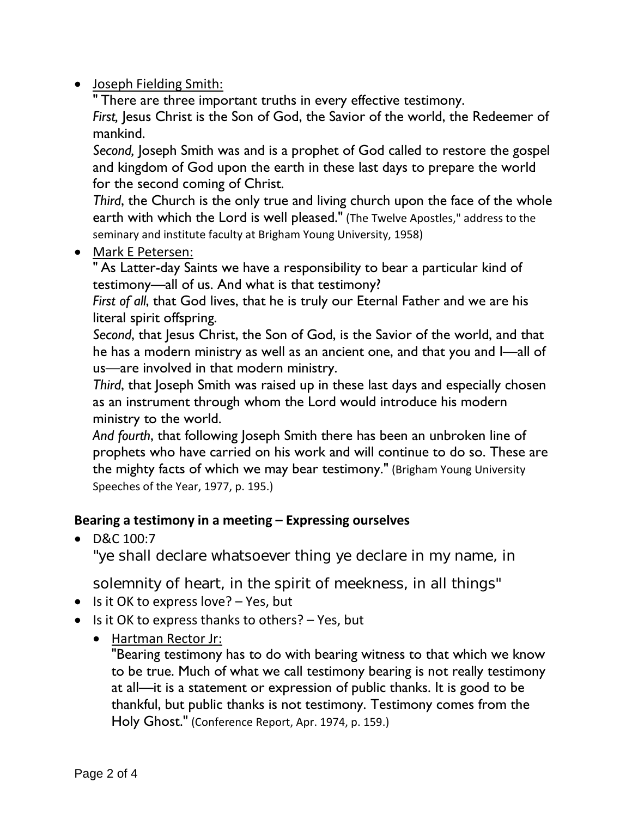# • Joseph Fielding Smith:

" There are three important truths in every effective testimony.

*First,* Jesus Christ is the Son of God, the Savior of the world, the Redeemer of mankind.

*Second,* Joseph Smith was and is a prophet of God called to restore the gospel and kingdom of God upon the earth in these last days to prepare the world for the second coming of Christ.

*Third*, the Church is the only true and living church upon the face of the whole earth with which the Lord is well pleased." (The Twelve Apostles," address to the seminary and institute faculty at Brigham Young University, 1958)

• Mark E Petersen:

" As Latter-day Saints we have a responsibility to bear a particular kind of testimony—all of us. And what is that testimony?

*First of all*, that God lives, that he is truly our Eternal Father and we are his literal spirit offspring.

*Second*, that Jesus Christ, the Son of God, is the Savior of the world, and that he has a modern ministry as well as an ancient one, and that you and I—all of us—are involved in that modern ministry.

*Third*, that Joseph Smith was raised up in these last days and especially chosen as an instrument through whom the Lord would introduce his modern ministry to the world.

*And fourth*, that following Joseph Smith there has been an unbroken line of prophets who have carried on his work and will continue to do so. These are the mighty facts of which we may bear testimony." (Brigham Young University Speeches of the Year, 1977, p. 195.)

# **Bearing a testimony in a meeting – Expressing ourselves**

• D&C 100:7

"ye shall declare whatsoever thing ye declare in my name, in

solemnity of heart, in the spirit of meekness, in all things"

- Is it OK to express love? Yes, but
- Is it OK to express thanks to others? Yes, but
	- Hartman Rector Jr:

"Bearing testimony has to do with bearing witness to that which we know to be true. Much of what we call testimony bearing is not really testimony at all—it is a statement or expression of public thanks. It is good to be thankful, but public thanks is not testimony. Testimony comes from the Holy Ghost." (Conference Report, Apr. 1974, p. 159.)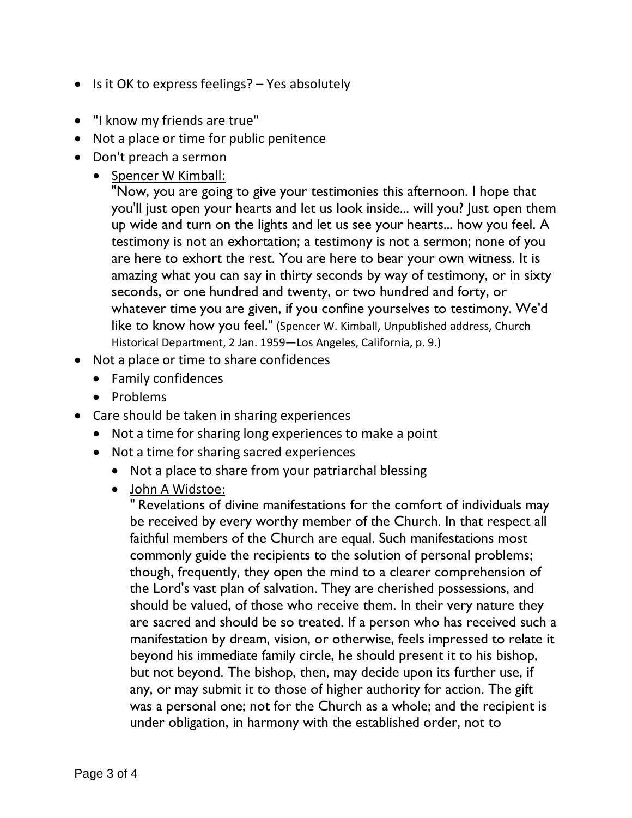- Is it OK to express feelings? Yes absolutely
- "I know my friends are true"
- Not a place or time for public penitence
- Don't preach a sermon
	- Spencer W Kimball:

"Now, you are going to give your testimonies this afternoon. I hope that you'll just open your hearts and let us look inside... will you? Just open them up wide and turn on the lights and let us see your hearts... how you feel. A testimony is not an exhortation; a testimony is not a sermon; none of you are here to exhort the rest. You are here to bear your own witness. It is amazing what you can say in thirty seconds by way of testimony, or in sixty seconds, or one hundred and twenty, or two hundred and forty, or whatever time you are given, if you confine yourselves to testimony. We'd like to know how you feel." (Spencer W. Kimball, Unpublished address, Church Historical Department, 2 Jan. 1959—Los Angeles, California, p. 9.)

- Not a place or time to share confidences
	- Family confidences
	- Problems
- Care should be taken in sharing experiences
	- Not a time for sharing long experiences to make a point
	- Not a time for sharing sacred experiences
		- Not a place to share from your patriarchal blessing
		- John A Widstoe:

" Revelations of divine manifestations for the comfort of individuals may be received by every worthy member of the Church. In that respect all faithful members of the Church are equal. Such manifestations most commonly guide the recipients to the solution of personal problems; though, frequently, they open the mind to a clearer comprehension of the Lord's vast plan of salvation. They are cherished possessions, and should be valued, of those who receive them. In their very nature they are sacred and should be so treated. If a person who has received such a manifestation by dream, vision, or otherwise, feels impressed to relate it beyond his immediate family circle, he should present it to his bishop, but not beyond. The bishop, then, may decide upon its further use, if any, or may submit it to those of higher authority for action. The gift was a personal one; not for the Church as a whole; and the recipient is under obligation, in harmony with the established order, not to